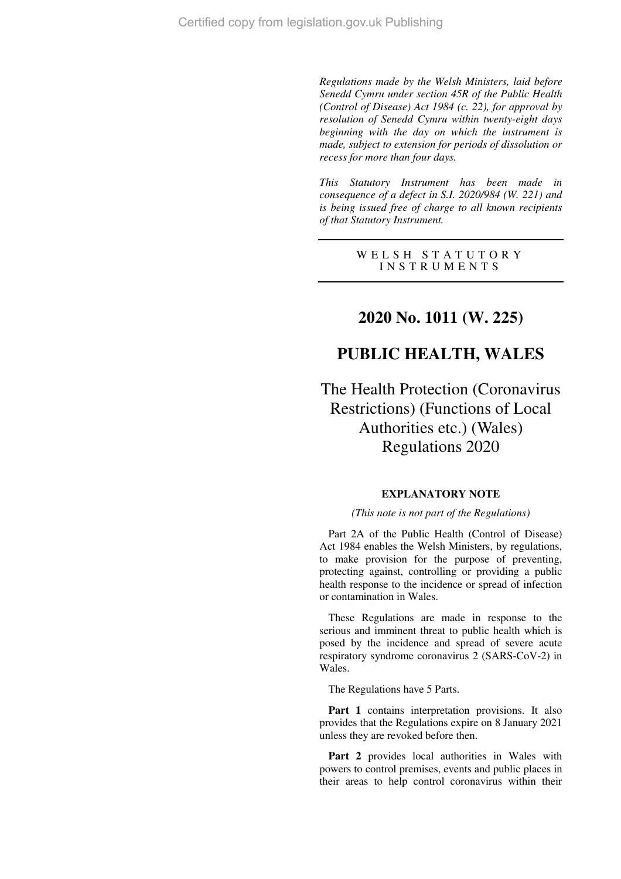*Regulations made by the Welsh Ministers, laid before Senedd Cymru under section 45R of the Public Health (Control of Disease) Act 1984 (c. 22), for approval by resolution of Senedd Cymru within twenty-eight days beginning with the day on which the instrument is made, subject to extension for periods of dissolution or recess for more than four days.* 

*This Statutory Instrument has been made in consequence of a defect in S.I. 2020/984 (W. 221) and is being issued free of charge to all known recipients of that Statutory Instrument.* 

> WELSH STATUTORY I N S T R U M E N T S

# **2020 No. 1011 (W. 225)**

# **PUBLIC HEALTH, WALES**

The Health Protection (Coronavirus Restrictions) (Functions of Local Authorities etc.) (Wales) Regulations 2020

#### **EXPLANATORY NOTE**

#### *(This note is not part of the Regulations)*

Part 2A of the Public Health (Control of Disease) Act 1984 enables the Welsh Ministers, by regulations, to make provision for the purpose of preventing, protecting against, controlling or providing a public health response to the incidence or spread of infection or contamination in Wales.

These Regulations are made in response to the serious and imminent threat to public health which is posed by the incidence and spread of severe acute respiratory syndrome coronavirus 2 (SARS-CoV-2) in Wales.

The Regulations have 5 Parts.

Part 1 contains interpretation provisions. It also provides that the Regulations expire on 8 January 2021 unless they are revoked before then.

Part 2 provides local authorities in Wales with powers to control premises, events and public places in their areas to help control coronavirus within their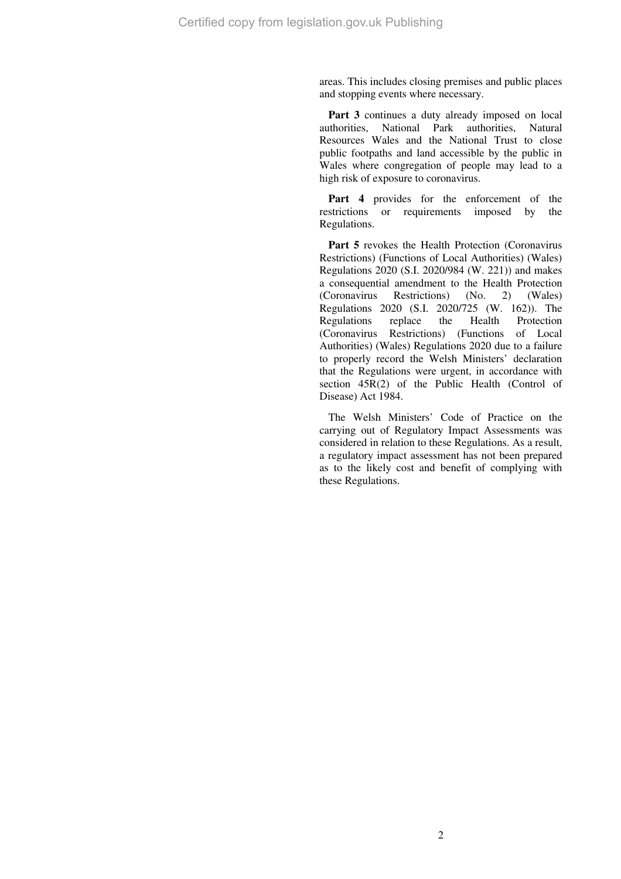areas. This includes closing premises and public places and stopping events where necessary.

Part 3 continues a duty already imposed on local authorities, National Park authorities, Natural Resources Wales and the National Trust to close public footpaths and land accessible by the public in Wales where congregation of people may lead to a high risk of exposure to coronavirus.

Part 4 provides for the enforcement of the restrictions or requirements imposed by the Regulations.

Part 5 revokes the Health Protection (Coronavirus Restrictions) (Functions of Local Authorities) (Wales) Regulations 2020 (S.I. 2020/984 (W. 221)) and makes a consequential amendment to the Health Protection<br>(Coronavirus Restrictions) (No. 2) (Wales) (Coronavirus Restrictions) (No. 2) (Wales) Regulations 2020 (S.I. 2020/725 (W. 162)). The Regulations replace the Health Protection (Coronavirus Restrictions) (Functions of Local Authorities) (Wales) Regulations 2020 due to a failure to properly record the Welsh Ministers' declaration that the Regulations were urgent, in accordance with section 45R(2) of the Public Health (Control of Disease) Act 1984.

The Welsh Ministers' Code of Practice on the carrying out of Regulatory Impact Assessments was considered in relation to these Regulations. As a result, a regulatory impact assessment has not been prepared as to the likely cost and benefit of complying with these Regulations.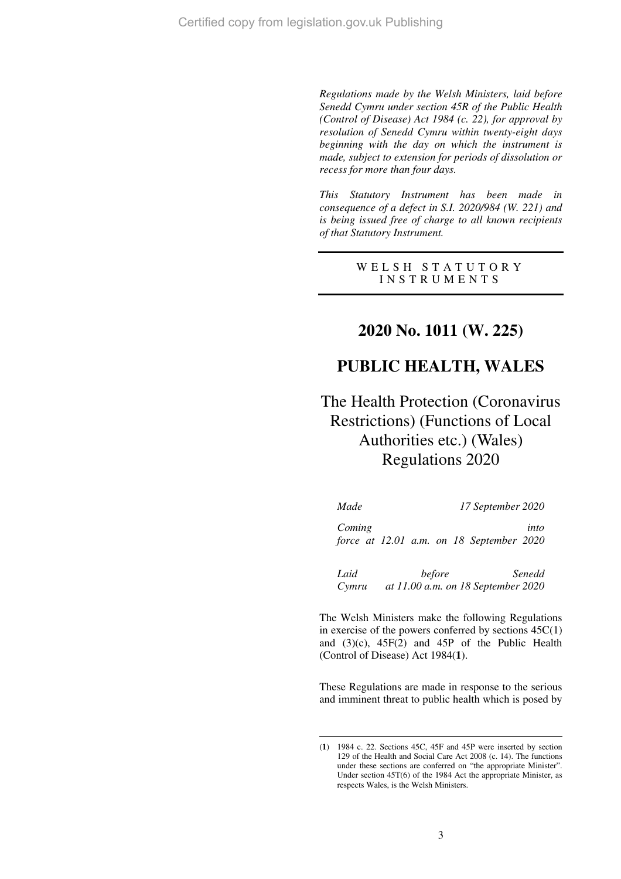*Regulations made by the Welsh Ministers, laid before Senedd Cymru under section 45R of the Public Health (Control of Disease) Act 1984 (c. 22), for approval by resolution of Senedd Cymru within twenty-eight days beginning with the day on which the instrument is made, subject to extension for periods of dissolution or recess for more than four days.* 

*This Statutory Instrument has been made in consequence of a defect in S.I. 2020/984 (W. 221) and is being issued free of charge to all known recipients of that Statutory Instrument.* 

> WELSH STATUTORY I N S T R U M E N T S

# **2020 No. 1011 (W. 225)**

# **PUBLIC HEALTH, WALES**

The Health Protection (Coronavirus Restrictions) (Functions of Local Authorities etc.) (Wales) Regulations 2020

| Made          |  | 17 September 2020 |                                                  |
|---------------|--|-------------------|--------------------------------------------------|
| Coming        |  |                   | into<br>force at 12.01 a.m. on 18 September 2020 |
| Laid<br>Cymru |  | before            | Senedd<br>at 11.00 a.m. on 18 September 2020     |

The Welsh Ministers make the following Regulations in exercise of the powers conferred by sections 45C(1) and (3)(c), 45F(2) and 45P of the Public Health (Control of Disease) Act 1984(**1**).

These Regulations are made in response to the serious and imminent threat to public health which is posed by

<sup>(</sup>**1**) 1984 c. 22. Sections 45C, 45F and 45P were inserted by section 129 of the Health and Social Care Act 2008 (c. 14). The functions under these sections are conferred on "the appropriate Minister". Under section 45T(6) of the 1984 Act the appropriate Minister, as respects Wales, is the Welsh Ministers.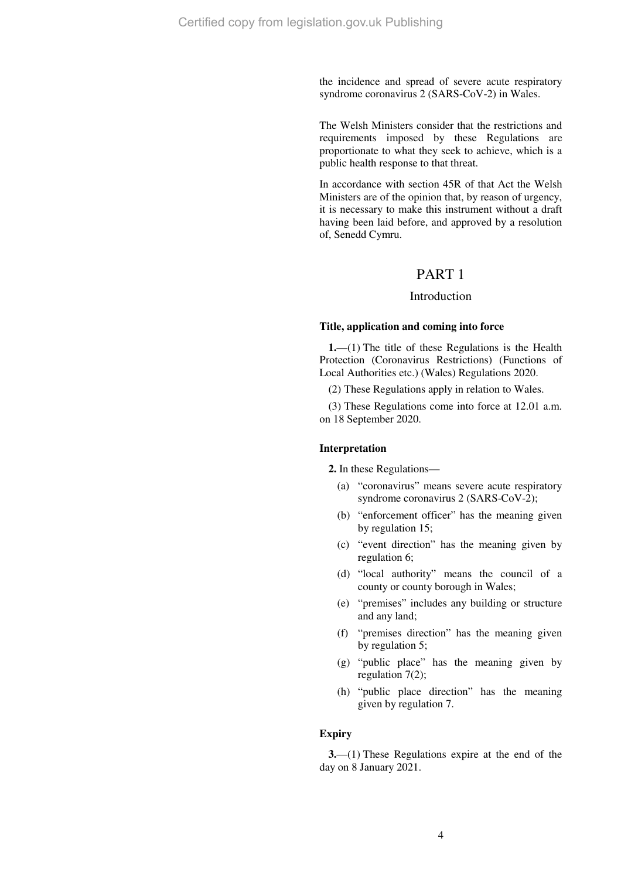the incidence and spread of severe acute respiratory syndrome coronavirus 2 (SARS-CoV-2) in Wales.

The Welsh Ministers consider that the restrictions and requirements imposed by these Regulations are proportionate to what they seek to achieve, which is a public health response to that threat.

In accordance with section 45R of that Act the Welsh Ministers are of the opinion that, by reason of urgency, it is necessary to make this instrument without a draft having been laid before, and approved by a resolution of, Senedd Cymru.

## PART 1

### Introduction

#### **Title, application and coming into force**

**1.**—(1) The title of these Regulations is the Health Protection (Coronavirus Restrictions) (Functions of Local Authorities etc.) (Wales) Regulations 2020.

(2) These Regulations apply in relation to Wales.

(3) These Regulations come into force at 12.01 a.m. on 18 September 2020.

#### **Interpretation**

**2.** In these Regulations—

- (a) "coronavirus" means severe acute respiratory syndrome coronavirus 2 (SARS-CoV-2);
- (b) "enforcement officer" has the meaning given by regulation 15;
- (c) "event direction" has the meaning given by regulation 6;
- (d) "local authority" means the council of a county or county borough in Wales;
- (e) "premises" includes any building or structure and any land;
- (f) "premises direction" has the meaning given by regulation 5;
- (g) "public place" has the meaning given by regulation 7(2);
- (h) "public place direction" has the meaning given by regulation 7.

#### **Expiry**

**3.**—(1) These Regulations expire at the end of the day on 8 January 2021.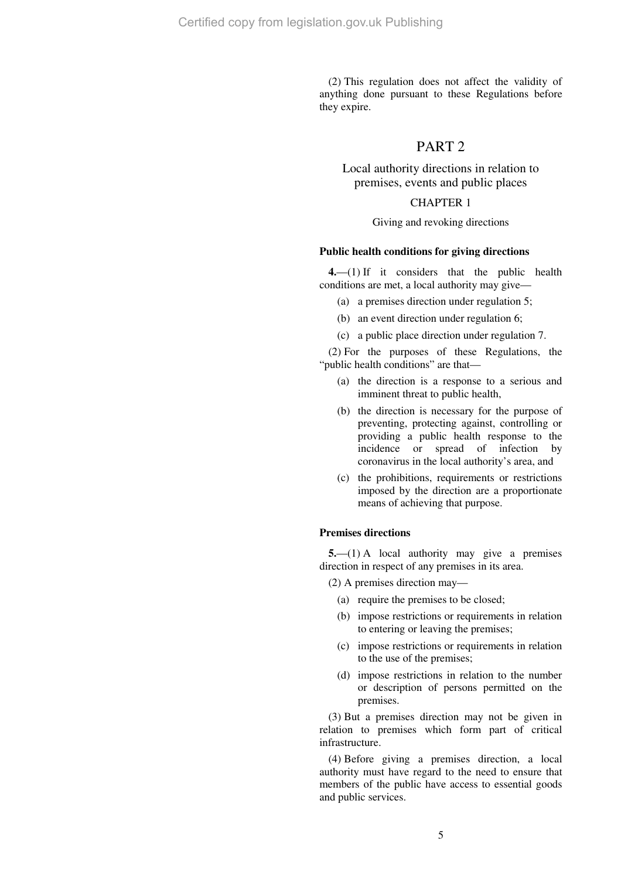(2) This regulation does not affect the validity of anything done pursuant to these Regulations before they expire.

## PART 2

Local authority directions in relation to premises, events and public places

## CHAPTER 1

#### Giving and revoking directions

#### **Public health conditions for giving directions**

**4.**—(1) If it considers that the public health conditions are met, a local authority may give—

- (a) a premises direction under regulation 5;
- (b) an event direction under regulation 6;
- (c) a public place direction under regulation 7.

(2) For the purposes of these Regulations, the "public health conditions" are that—

- (a) the direction is a response to a serious and imminent threat to public health,
- (b) the direction is necessary for the purpose of preventing, protecting against, controlling or providing a public health response to the incidence or spread of infection by coronavirus in the local authority's area, and
- (c) the prohibitions, requirements or restrictions imposed by the direction are a proportionate means of achieving that purpose.

#### **Premises directions**

**5.**—(1) A local authority may give a premises direction in respect of any premises in its area.

(2) A premises direction may—

- (a) require the premises to be closed;
- (b) impose restrictions or requirements in relation to entering or leaving the premises;
- (c) impose restrictions or requirements in relation to the use of the premises;
- (d) impose restrictions in relation to the number or description of persons permitted on the premises.

(3) But a premises direction may not be given in relation to premises which form part of critical infrastructure.

(4) Before giving a premises direction, a local authority must have regard to the need to ensure that members of the public have access to essential goods and public services.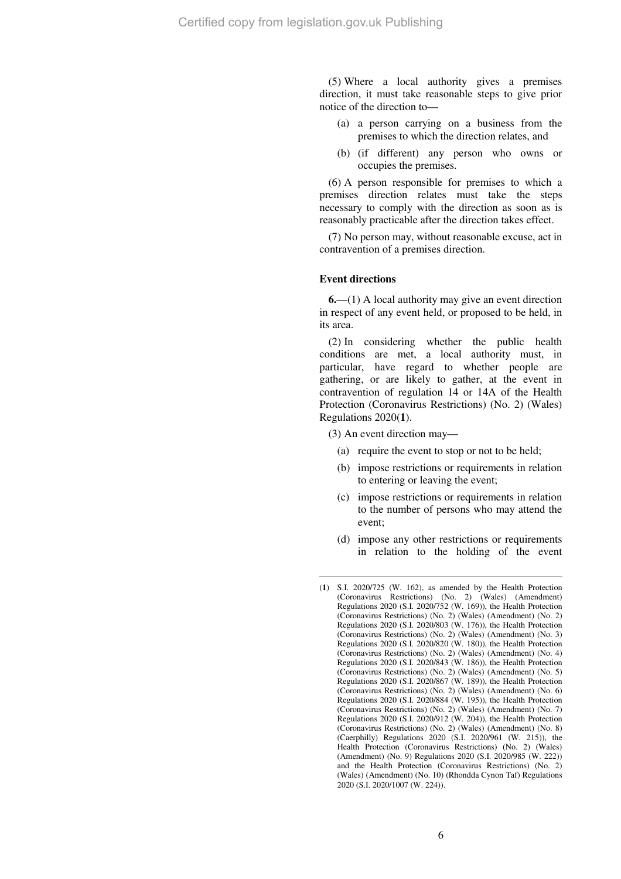(5) Where a local authority gives a premises direction, it must take reasonable steps to give prior notice of the direction to—

- (a) a person carrying on a business from the premises to which the direction relates, and
- (b) (if different) any person who owns or occupies the premises.

(6) A person responsible for premises to which a premises direction relates must take the steps necessary to comply with the direction as soon as is reasonably practicable after the direction takes effect.

(7) No person may, without reasonable excuse, act in contravention of a premises direction.

#### **Event directions**

 $\overline{a}$ 

**6.**—(1) A local authority may give an event direction in respect of any event held, or proposed to be held, in its area.

(2) In considering whether the public health conditions are met, a local authority must, in particular, have regard to whether people are gathering, or are likely to gather, at the event in contravention of regulation 14 or 14A of the Health Protection (Coronavirus Restrictions) (No. 2) (Wales) Regulations 2020(**1**).

(3) An event direction may—

- (a) require the event to stop or not to be held;
- (b) impose restrictions or requirements in relation to entering or leaving the event;
- (c) impose restrictions or requirements in relation to the number of persons who may attend the event;
- (d) impose any other restrictions or requirements in relation to the holding of the event

<sup>(</sup>**1**) S.I. 2020/725 (W. 162), as amended by the Health Protection (Coronavirus Restrictions) (No. 2) (Wales) (Amendment) Regulations 2020 (S.I. 2020/752 (W. 169)), the Health Protection (Coronavirus Restrictions) (No. 2) (Wales) (Amendment) (No. 2) Regulations 2020 (S.I. 2020/803 (W. 176)), the Health Protection (Coronavirus Restrictions) (No. 2) (Wales) (Amendment) (No. 3) Regulations 2020 (S.I. 2020/820 (W. 180)), the Health Protection (Coronavirus Restrictions) (No. 2) (Wales) (Amendment) (No. 4) Regulations 2020 (S.I. 2020/843 (W. 186)), the Health Protection (Coronavirus Restrictions) (No. 2) (Wales) (Amendment) (No. 5) Regulations 2020 (S.I. 2020/867 (W. 189)), the Health Protection (Coronavirus Restrictions) (No. 2) (Wales) (Amendment) (No. 6) Regulations 2020 (S.I. 2020/884 (W. 195)), the Health Protection (Coronavirus Restrictions) (No. 2) (Wales) (Amendment) (No. 7) Regulations 2020 (S.I. 2020/912 (W. 204)), the Health Protection (Coronavirus Restrictions) (No. 2) (Wales) (Amendment) (No. 8) (Caerphilly) Regulations 2020 (S.I. 2020/961 (W. 215)), the Health Protection (Coronavirus Restrictions) (No. 2) (Wales) (Amendment) (No. 9) Regulations 2020 (S.I. 2020/985 (W. 222)) and the Health Protection (Coronavirus Restrictions) (No. 2) (Wales) (Amendment) (No. 10) (Rhondda Cynon Taf) Regulations 2020 (S.I. 2020/1007 (W. 224)).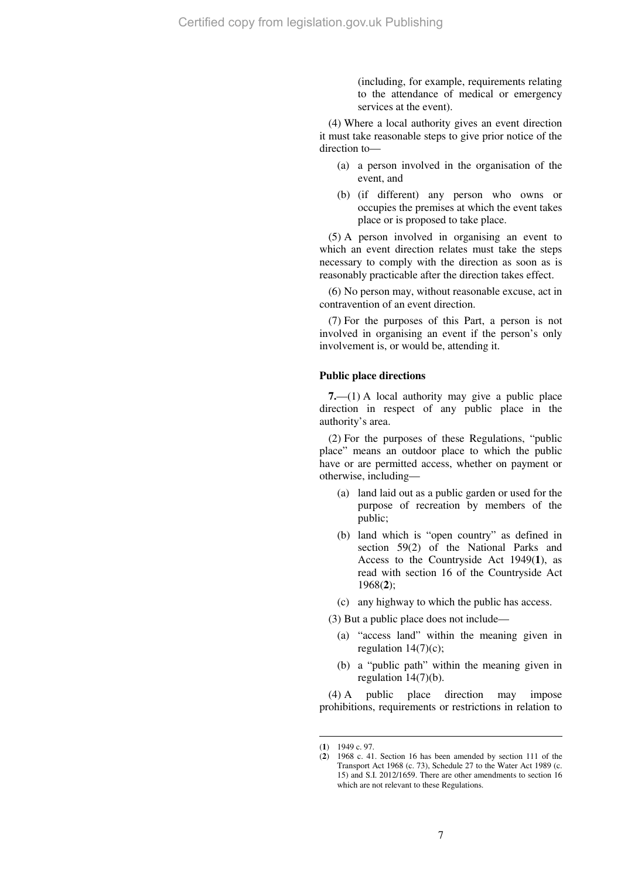(including, for example, requirements relating to the attendance of medical or emergency services at the event).

(4) Where a local authority gives an event direction it must take reasonable steps to give prior notice of the direction to—

- (a) a person involved in the organisation of the event, and
- (b) (if different) any person who owns or occupies the premises at which the event takes place or is proposed to take place.

(5) A person involved in organising an event to which an event direction relates must take the steps necessary to comply with the direction as soon as is reasonably practicable after the direction takes effect.

(6) No person may, without reasonable excuse, act in contravention of an event direction.

(7) For the purposes of this Part, a person is not involved in organising an event if the person's only involvement is, or would be, attending it.

#### **Public place directions**

**7.**—(1) A local authority may give a public place direction in respect of any public place in the authority's area.

(2) For the purposes of these Regulations, "public place" means an outdoor place to which the public have or are permitted access, whether on payment or otherwise, including—

- (a) land laid out as a public garden or used for the purpose of recreation by members of the public;
- (b) land which is "open country" as defined in section 59(2) of the National Parks and Access to the Countryside Act 1949(**1**), as read with section 16 of the Countryside Act 1968(**2**);

(c) any highway to which the public has access.

(3) But a public place does not include—

- (a) "access land" within the meaning given in regulation  $14(7)(c)$ ;
- (b) a "public path" within the meaning given in regulation 14(7)(b).

(4) A public place direction may impose prohibitions, requirements or restrictions in relation to

<sup>(</sup>**1**) 1949 c. 97.

<sup>(</sup>**2**) 1968 c. 41. Section 16 has been amended by section 111 of the Transport Act 1968 (c. 73), Schedule 27 to the Water Act 1989 (c. 15) and S.I. 2012/1659. There are other amendments to section 16 which are not relevant to these Regulations.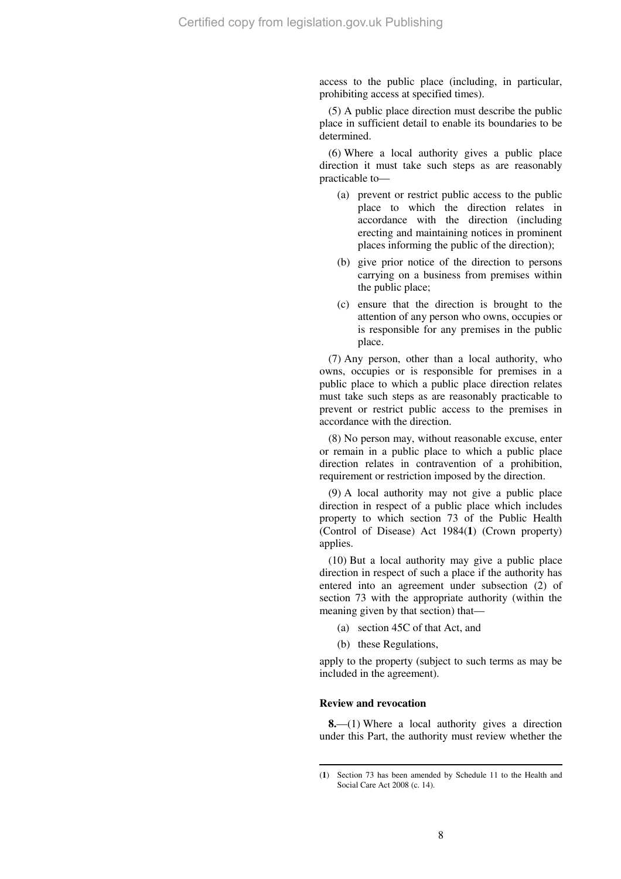access to the public place (including, in particular, prohibiting access at specified times).

(5) A public place direction must describe the public place in sufficient detail to enable its boundaries to be determined.

(6) Where a local authority gives a public place direction it must take such steps as are reasonably practicable to—

- (a) prevent or restrict public access to the public place to which the direction relates in accordance with the direction (including erecting and maintaining notices in prominent places informing the public of the direction);
- (b) give prior notice of the direction to persons carrying on a business from premises within the public place;
- (c) ensure that the direction is brought to the attention of any person who owns, occupies or is responsible for any premises in the public place.

(7) Any person, other than a local authority, who owns, occupies or is responsible for premises in a public place to which a public place direction relates must take such steps as are reasonably practicable to prevent or restrict public access to the premises in accordance with the direction.

(8) No person may, without reasonable excuse, enter or remain in a public place to which a public place direction relates in contravention of a prohibition, requirement or restriction imposed by the direction.

(9) A local authority may not give a public place direction in respect of a public place which includes property to which section 73 of the Public Health (Control of Disease) Act 1984(**1**) (Crown property) applies.

(10) But a local authority may give a public place direction in respect of such a place if the authority has entered into an agreement under subsection (2) of section 73 with the appropriate authority (within the meaning given by that section) that—

- (a) section 45C of that Act, and
- (b) these Regulations,

apply to the property (subject to such terms as may be included in the agreement).

#### **Review and revocation**

 $\overline{a}$ 

**8.**—(1) Where a local authority gives a direction under this Part, the authority must review whether the

<sup>(</sup>**1**) Section 73 has been amended by Schedule 11 to the Health and Social Care Act 2008 (c. 14).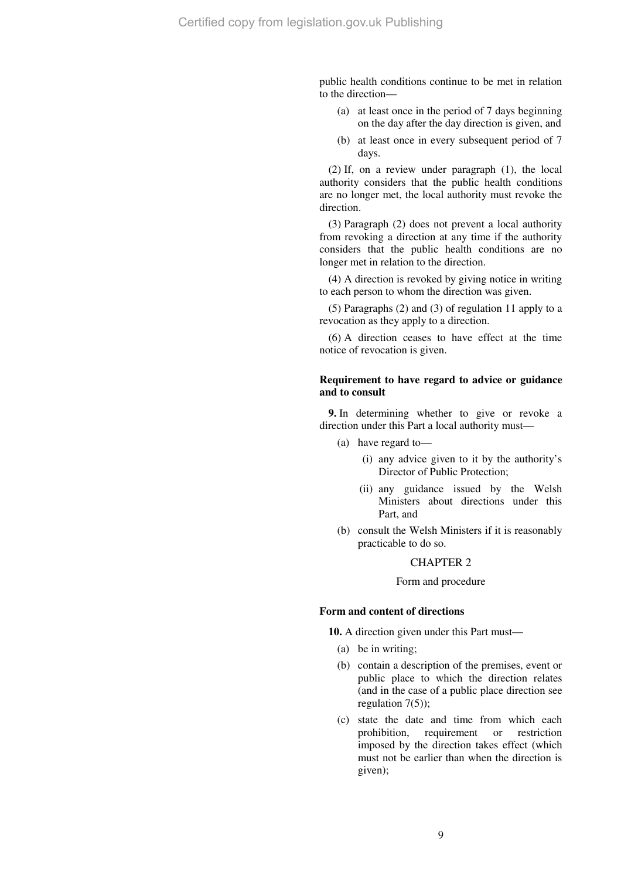public health conditions continue to be met in relation to the direction—

- (a) at least once in the period of 7 days beginning on the day after the day direction is given, and
- (b) at least once in every subsequent period of 7 days.

(2) If, on a review under paragraph (1), the local authority considers that the public health conditions are no longer met, the local authority must revoke the direction.

(3) Paragraph (2) does not prevent a local authority from revoking a direction at any time if the authority considers that the public health conditions are no longer met in relation to the direction.

(4) A direction is revoked by giving notice in writing to each person to whom the direction was given.

(5) Paragraphs (2) and (3) of regulation 11 apply to a revocation as they apply to a direction.

(6) A direction ceases to have effect at the time notice of revocation is given.

#### **Requirement to have regard to advice or guidance and to consult**

**9.** In determining whether to give or revoke a direction under this Part a local authority must—

- (a) have regard to—
	- (i) any advice given to it by the authority's Director of Public Protection;
	- (ii) any guidance issued by the Welsh Ministers about directions under this Part, and
- (b) consult the Welsh Ministers if it is reasonably practicable to do so.

## CHAPTER 2

#### Form and procedure

#### **Form and content of directions**

**10.** A direction given under this Part must—

- (a) be in writing;
- (b) contain a description of the premises, event or public place to which the direction relates (and in the case of a public place direction see regulation 7(5));
- (c) state the date and time from which each prohibition, requirement or restriction imposed by the direction takes effect (which must not be earlier than when the direction is given);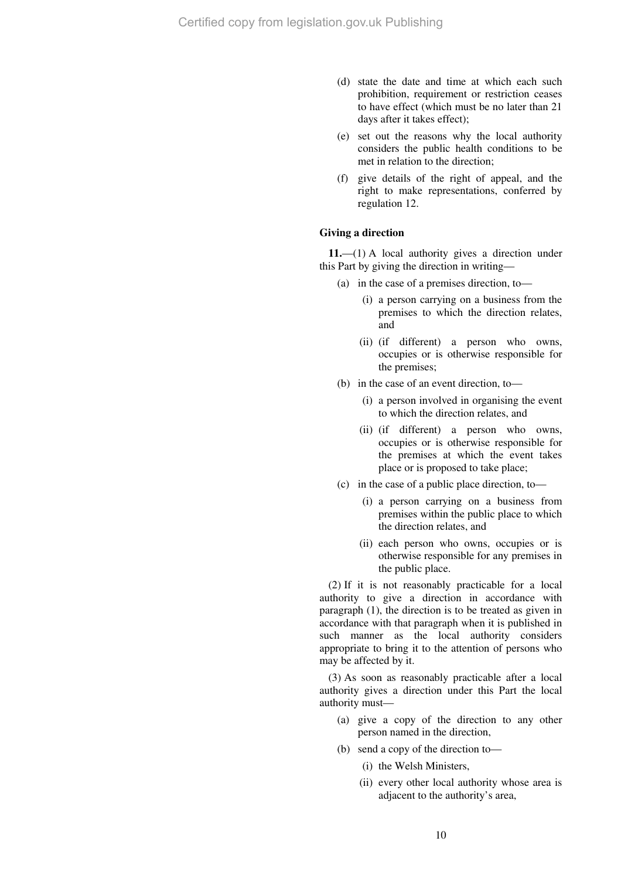- (d) state the date and time at which each such prohibition, requirement or restriction ceases to have effect (which must be no later than 21 days after it takes effect);
- (e) set out the reasons why the local authority considers the public health conditions to be met in relation to the direction;
- (f) give details of the right of appeal, and the right to make representations, conferred by regulation 12.

#### **Giving a direction**

**11.**—(1) A local authority gives a direction under this Part by giving the direction in writing—

- (a) in the case of a premises direction, to—
	- (i) a person carrying on a business from the premises to which the direction relates, and
	- (ii) (if different) a person who owns, occupies or is otherwise responsible for the premises;
- (b) in the case of an event direction, to—
	- (i) a person involved in organising the event to which the direction relates, and
	- (ii) (if different) a person who owns, occupies or is otherwise responsible for the premises at which the event takes place or is proposed to take place;
- (c) in the case of a public place direction, to—
	- (i) a person carrying on a business from premises within the public place to which the direction relates, and
	- (ii) each person who owns, occupies or is otherwise responsible for any premises in the public place.

(2) If it is not reasonably practicable for a local authority to give a direction in accordance with paragraph (1), the direction is to be treated as given in accordance with that paragraph when it is published in such manner as the local authority considers appropriate to bring it to the attention of persons who may be affected by it.

(3) As soon as reasonably practicable after a local authority gives a direction under this Part the local authority must—

- (a) give a copy of the direction to any other person named in the direction,
- (b) send a copy of the direction to—
	- (i) the Welsh Ministers,
	- (ii) every other local authority whose area is adjacent to the authority's area,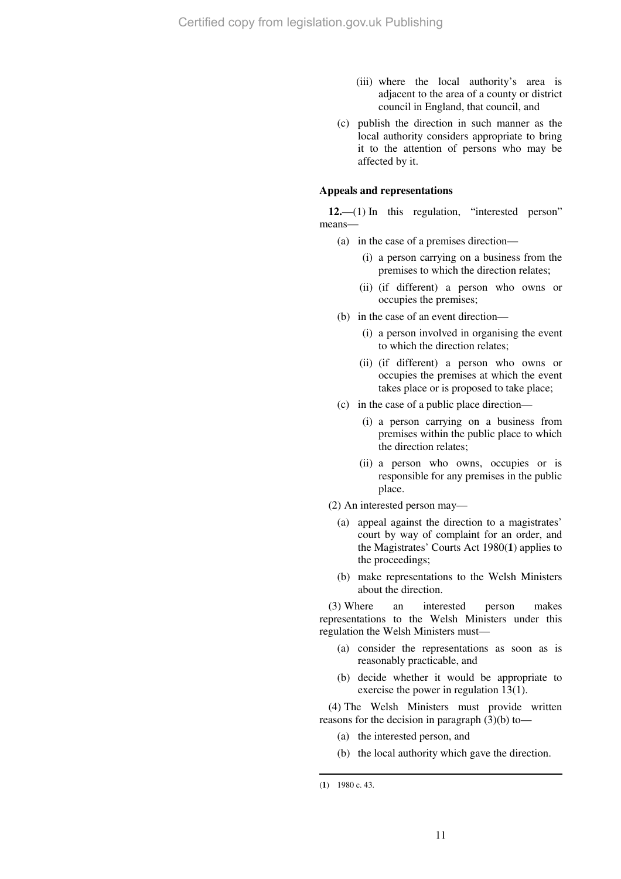- (iii) where the local authority's area is adjacent to the area of a county or district council in England, that council, and
- (c) publish the direction in such manner as the local authority considers appropriate to bring it to the attention of persons who may be affected by it.

#### **Appeals and representations**

12.—(1) In this regulation, "interested person" means—

- (a) in the case of a premises direction—
	- (i) a person carrying on a business from the premises to which the direction relates;
	- (ii) (if different) a person who owns or occupies the premises;
- (b) in the case of an event direction—
	- (i) a person involved in organising the event to which the direction relates;
	- (ii) (if different) a person who owns or occupies the premises at which the event takes place or is proposed to take place;
- (c) in the case of a public place direction—
	- (i) a person carrying on a business from premises within the public place to which the direction relates;
	- (ii) a person who owns, occupies or is responsible for any premises in the public place.
- (2) An interested person may—
	- (a) appeal against the direction to a magistrates' court by way of complaint for an order, and the Magistrates' Courts Act 1980(**1**) applies to the proceedings;
	- (b) make representations to the Welsh Ministers about the direction.

(3) Where an interested person makes representations to the Welsh Ministers under this regulation the Welsh Ministers must—

- (a) consider the representations as soon as is reasonably practicable, and
- (b) decide whether it would be appropriate to exercise the power in regulation 13(1).

(4) The Welsh Ministers must provide written reasons for the decision in paragraph (3)(b) to—

- (a) the interested person, and
- (b) the local authority which gave the direction.

<sup>(</sup>**1**) 1980 c. 43.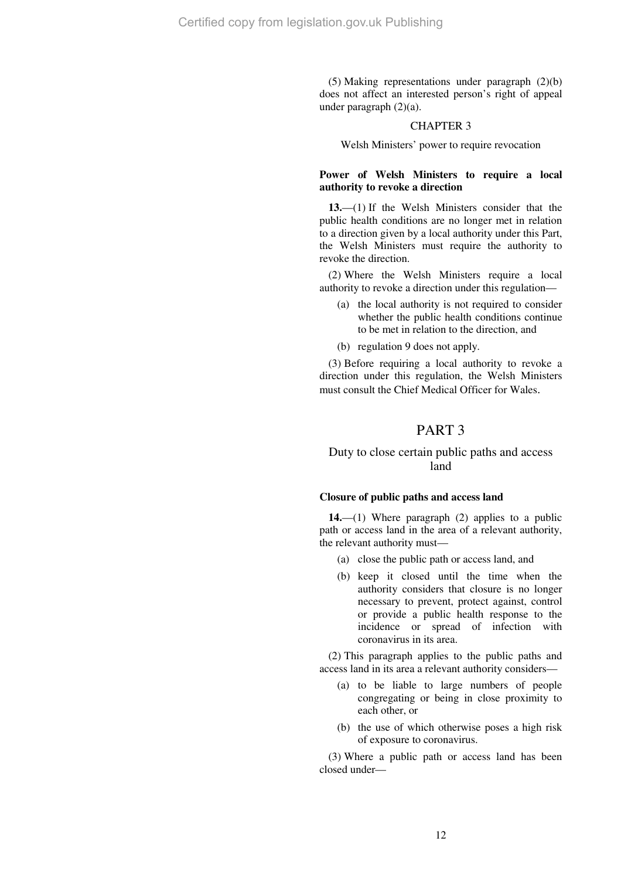(5) Making representations under paragraph (2)(b) does not affect an interested person's right of appeal under paragraph (2)(a).

#### CHAPTER 3

Welsh Ministers' power to require revocation

#### **Power of Welsh Ministers to require a local authority to revoke a direction**

**13.**—(1) If the Welsh Ministers consider that the public health conditions are no longer met in relation to a direction given by a local authority under this Part, the Welsh Ministers must require the authority to revoke the direction.

(2) Where the Welsh Ministers require a local authority to revoke a direction under this regulation—

- (a) the local authority is not required to consider whether the public health conditions continue to be met in relation to the direction, and
- (b) regulation 9 does not apply.

(3) Before requiring a local authority to revoke a direction under this regulation, the Welsh Ministers must consult the Chief Medical Officer for Wales.

## PART 3

## Duty to close certain public paths and access land

#### **Closure of public paths and access land**

**14.**—(1) Where paragraph (2) applies to a public path or access land in the area of a relevant authority, the relevant authority must—

- (a) close the public path or access land, and
- (b) keep it closed until the time when the authority considers that closure is no longer necessary to prevent, protect against, control or provide a public health response to the incidence or spread of infection with coronavirus in its area.

(2) This paragraph applies to the public paths and access land in its area a relevant authority considers—

- (a) to be liable to large numbers of people congregating or being in close proximity to each other, or
- (b) the use of which otherwise poses a high risk of exposure to coronavirus.

(3) Where a public path or access land has been closed under—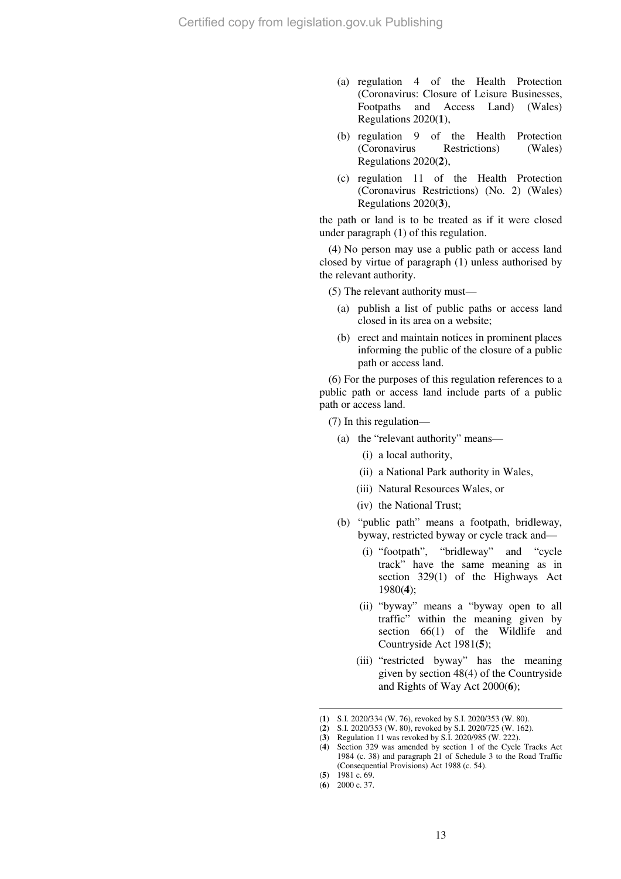- (a) regulation 4 of the Health Protection (Coronavirus: Closure of Leisure Businesses, Footpaths and Access Land) (Wales) Regulations 2020(**1**),
- (b) regulation 9 of the Health Protection (Coronavirus Restrictions) (Wales) Regulations 2020(**2**),
- (c) regulation 11 of the Health Protection (Coronavirus Restrictions) (No. 2) (Wales) Regulations 2020(**3**),

the path or land is to be treated as if it were closed under paragraph (1) of this regulation.

(4) No person may use a public path or access land closed by virtue of paragraph (1) unless authorised by the relevant authority.

(5) The relevant authority must—

- (a) publish a list of public paths or access land closed in its area on a website;
- (b) erect and maintain notices in prominent places informing the public of the closure of a public path or access land.

(6) For the purposes of this regulation references to a public path or access land include parts of a public path or access land.

(7) In this regulation—

- (a) the "relevant authority" means—
	- (i) a local authority,
	- (ii) a National Park authority in Wales,
	- (iii) Natural Resources Wales, or
	- (iv) the National Trust;
- (b) "public path" means a footpath, bridleway, byway, restricted byway or cycle track and—
	- (i) "footpath", "bridleway" and "cycle track" have the same meaning as in section 329(1) of the Highways Act 1980(**4**);
	- (ii) "byway" means a "byway open to all traffic" within the meaning given by section 66(1) of the Wildlife and Countryside Act 1981(**5**);
	- (iii) "restricted byway" has the meaning given by section 48(4) of the Countryside and Rights of Way Act 2000(**6**);

<sup>(</sup>**1**) S.I. 2020/334 (W. 76), revoked by S.I. 2020/353 (W. 80).

<sup>(</sup>**2**) S.I. 2020/353 (W. 80), revoked by S.I. 2020/725 (W. 162).

<sup>(</sup>**3**) Regulation 11 was revoked by S.I. 2020/985 (W. 222).

<sup>(</sup>**4**) Section 329 was amended by section 1 of the Cycle Tracks Act 1984 (c. 38) and paragraph 21 of Schedule 3 to the Road Traffic (Consequential Provisions) Act 1988 (c. 54).

<sup>(</sup>**5**) 1981 c. 69.

<sup>(</sup>**6**) 2000 c. 37.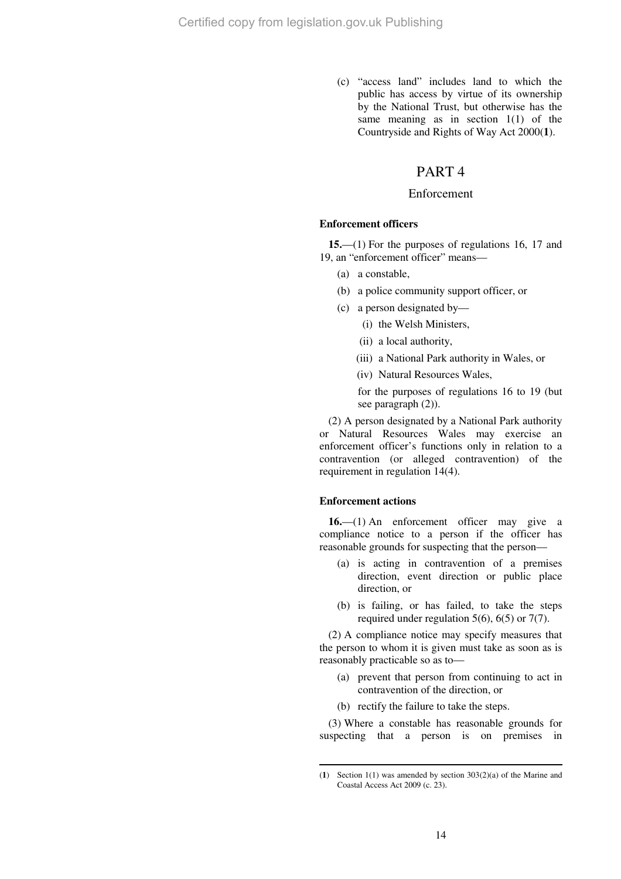(c) "access land" includes land to which the public has access by virtue of its ownership by the National Trust, but otherwise has the same meaning as in section  $1(1)$  of the Countryside and Rights of Way Act 2000(**1**).

## PART 4

#### Enforcement

#### **Enforcement officers**

**15.**—(1) For the purposes of regulations 16, 17 and 19, an "enforcement officer" means—

- (a) a constable,
- (b) a police community support officer, or
- (c) a person designated by—
	- (i) the Welsh Ministers,
	- (ii) a local authority,
	- (iii) a National Park authority in Wales, or
	- (iv) Natural Resources Wales,

for the purposes of regulations 16 to 19 (but see paragraph (2)).

(2) A person designated by a National Park authority or Natural Resources Wales may exercise an enforcement officer's functions only in relation to a contravention (or alleged contravention) of the requirement in regulation 14(4).

#### **Enforcement actions**

 $\overline{a}$ 

**16.**—(1) An enforcement officer may give a compliance notice to a person if the officer has reasonable grounds for suspecting that the person—

- (a) is acting in contravention of a premises direction, event direction or public place direction, or
- (b) is failing, or has failed, to take the steps required under regulation  $5(6)$ ,  $6(5)$  or  $7(7)$ .

(2) A compliance notice may specify measures that the person to whom it is given must take as soon as is reasonably practicable so as to—

- (a) prevent that person from continuing to act in contravention of the direction, or
- (b) rectify the failure to take the steps.

(3) Where a constable has reasonable grounds for suspecting that a person is on premises in

<sup>(</sup>**1**) Section 1(1) was amended by section 303(2)(a) of the Marine and Coastal Access Act 2009 (c. 23).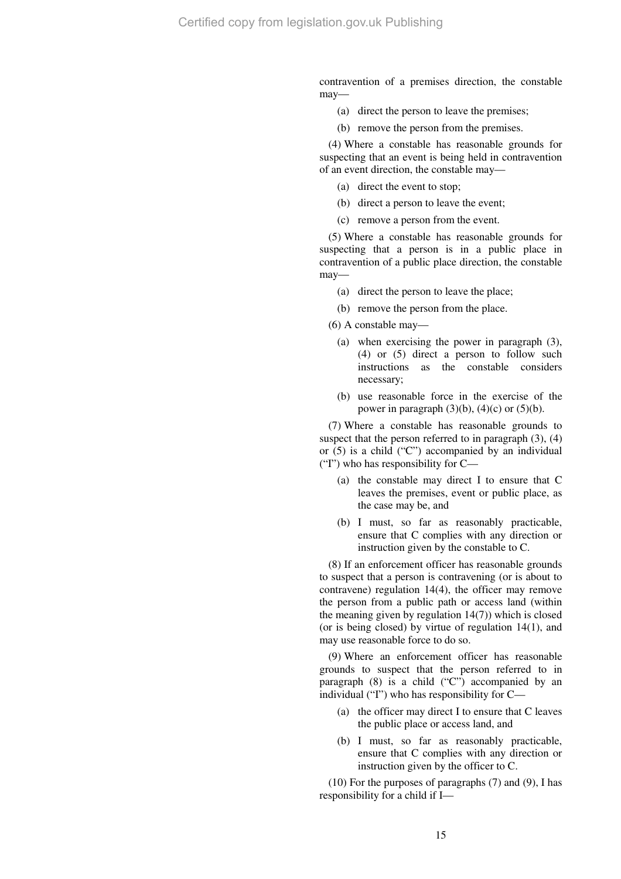contravention of a premises direction, the constable may—

- (a) direct the person to leave the premises;
- (b) remove the person from the premises.

(4) Where a constable has reasonable grounds for suspecting that an event is being held in contravention of an event direction, the constable may—

- (a) direct the event to stop;
- (b) direct a person to leave the event;
- (c) remove a person from the event.

(5) Where a constable has reasonable grounds for suspecting that a person is in a public place in contravention of a public place direction, the constable may—

- (a) direct the person to leave the place;
- (b) remove the person from the place.

(6) A constable may—

- (a) when exercising the power in paragraph (3), (4) or (5) direct a person to follow such instructions as the constable considers necessary;
- (b) use reasonable force in the exercise of the power in paragraph  $(3)(b)$ ,  $(4)(c)$  or  $(5)(b)$ .

(7) Where a constable has reasonable grounds to suspect that the person referred to in paragraph  $(3)$ ,  $(4)$ or (5) is a child ("C") accompanied by an individual ("I") who has responsibility for C—

- (a) the constable may direct I to ensure that C leaves the premises, event or public place, as the case may be, and
- (b) I must, so far as reasonably practicable, ensure that C complies with any direction or instruction given by the constable to C.

(8) If an enforcement officer has reasonable grounds to suspect that a person is contravening (or is about to contravene) regulation 14(4), the officer may remove the person from a public path or access land (within the meaning given by regulation 14(7)) which is closed (or is being closed) by virtue of regulation 14(1), and may use reasonable force to do so.

(9) Where an enforcement officer has reasonable grounds to suspect that the person referred to in paragraph  $(8)$  is a child  $(°C")$  accompanied by an individual ("I") who has responsibility for C—

- (a) the officer may direct I to ensure that C leaves the public place or access land, and
- (b) I must, so far as reasonably practicable, ensure that C complies with any direction or instruction given by the officer to C.

(10) For the purposes of paragraphs (7) and (9), I has responsibility for a child if I—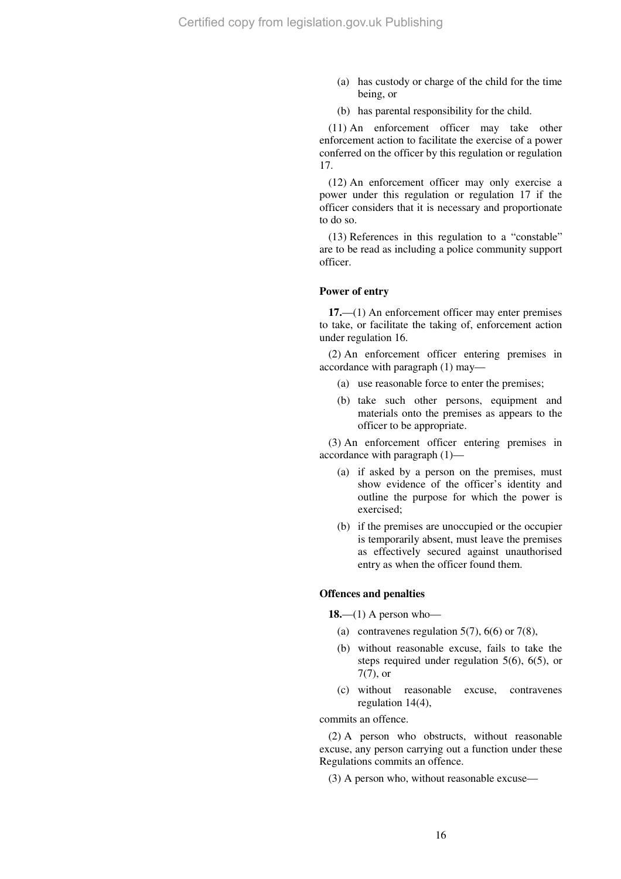- (a) has custody or charge of the child for the time being, or
- (b) has parental responsibility for the child.

(11) An enforcement officer may take other enforcement action to facilitate the exercise of a power conferred on the officer by this regulation or regulation 17.

(12) An enforcement officer may only exercise a power under this regulation or regulation 17 if the officer considers that it is necessary and proportionate to do so.

(13) References in this regulation to a "constable" are to be read as including a police community support officer.

#### **Power of entry**

**17.**—(1) An enforcement officer may enter premises to take, or facilitate the taking of, enforcement action under regulation 16.

(2) An enforcement officer entering premises in accordance with paragraph (1) may—

- (a) use reasonable force to enter the premises;
- (b) take such other persons, equipment and materials onto the premises as appears to the officer to be appropriate.

(3) An enforcement officer entering premises in accordance with paragraph (1)—

- (a) if asked by a person on the premises, must show evidence of the officer's identity and outline the purpose for which the power is exercised;
- (b) if the premises are unoccupied or the occupier is temporarily absent, must leave the premises as effectively secured against unauthorised entry as when the officer found them.

#### **Offences and penalties**

**18.**—(1) A person who—

- (a) contravenes regulation 5(7), 6(6) or 7(8),
- (b) without reasonable excuse, fails to take the steps required under regulation 5(6), 6(5), or 7(7), or
- (c) without reasonable excuse, contravenes regulation 14(4),

commits an offence.

(2) A person who obstructs, without reasonable excuse, any person carrying out a function under these Regulations commits an offence.

(3) A person who, without reasonable excuse—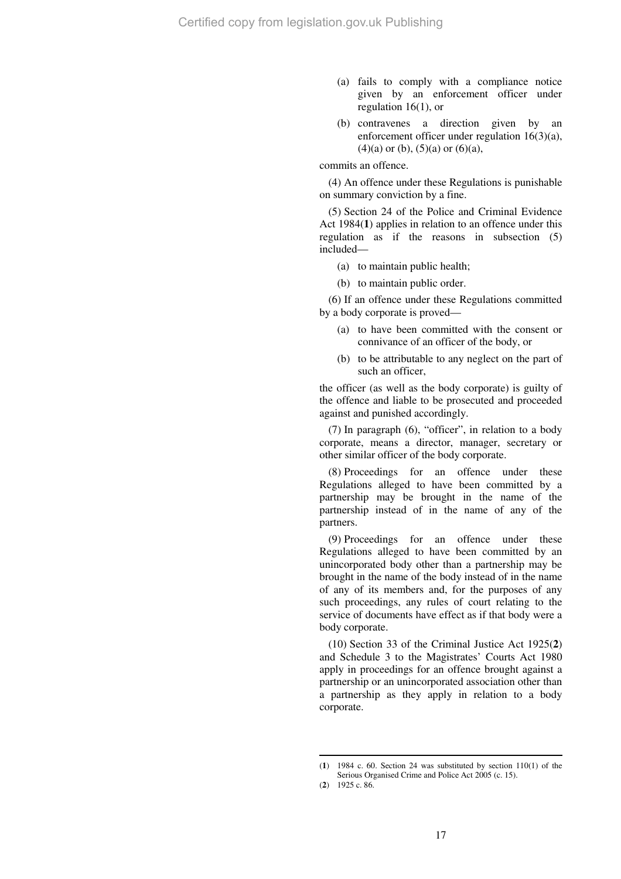- (a) fails to comply with a compliance notice given by an enforcement officer under regulation 16(1), or
- (b) contravenes a direction given by an enforcement officer under regulation 16(3)(a),  $(4)(a)$  or  $(b)$ ,  $(5)(a)$  or  $(6)(a)$ ,

#### commits an offence.

(4) An offence under these Regulations is punishable on summary conviction by a fine.

(5) Section 24 of the Police and Criminal Evidence Act 1984(**1**) applies in relation to an offence under this regulation as if the reasons in subsection (5) included—

- (a) to maintain public health;
- (b) to maintain public order.

(6) If an offence under these Regulations committed by a body corporate is proved—

- (a) to have been committed with the consent or connivance of an officer of the body, or
- (b) to be attributable to any neglect on the part of such an officer,

the officer (as well as the body corporate) is guilty of the offence and liable to be prosecuted and proceeded against and punished accordingly.

(7) In paragraph (6), "officer", in relation to a body corporate, means a director, manager, secretary or other similar officer of the body corporate.

(8) Proceedings for an offence under these Regulations alleged to have been committed by a partnership may be brought in the name of the partnership instead of in the name of any of the partners.

(9) Proceedings for an offence under these Regulations alleged to have been committed by an unincorporated body other than a partnership may be brought in the name of the body instead of in the name of any of its members and, for the purposes of any such proceedings, any rules of court relating to the service of documents have effect as if that body were a body corporate.

(10) Section 33 of the Criminal Justice Act 1925(**2**) and Schedule 3 to the Magistrates' Courts Act 1980 apply in proceedings for an offence brought against a partnership or an unincorporated association other than a partnership as they apply in relation to a body corporate.

<sup>(</sup>**1**) 1984 c. 60. Section 24 was substituted by section 110(1) of the Serious Organised Crime and Police Act 2005 (c. 15).

<sup>(</sup>**2**) 1925 c. 86.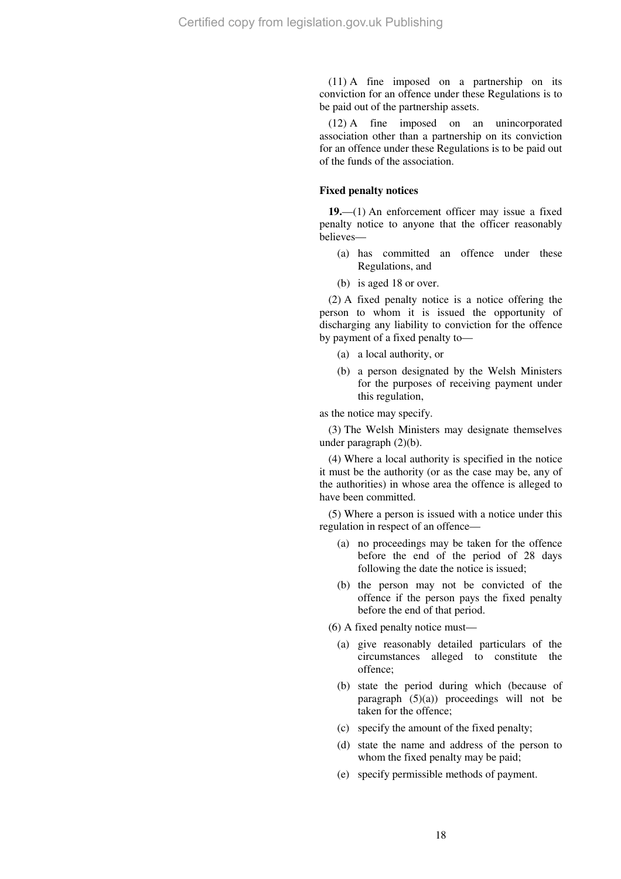(11) A fine imposed on a partnership on its conviction for an offence under these Regulations is to be paid out of the partnership assets.

(12) A fine imposed on an unincorporated association other than a partnership on its conviction for an offence under these Regulations is to be paid out of the funds of the association.

#### **Fixed penalty notices**

**19.**—(1) An enforcement officer may issue a fixed penalty notice to anyone that the officer reasonably believes—

- (a) has committed an offence under these Regulations, and
- (b) is aged 18 or over.

(2) A fixed penalty notice is a notice offering the person to whom it is issued the opportunity of discharging any liability to conviction for the offence by payment of a fixed penalty to—

- (a) a local authority, or
- (b) a person designated by the Welsh Ministers for the purposes of receiving payment under this regulation,

as the notice may specify.

(3) The Welsh Ministers may designate themselves under paragraph (2)(b).

(4) Where a local authority is specified in the notice it must be the authority (or as the case may be, any of the authorities) in whose area the offence is alleged to have been committed.

(5) Where a person is issued with a notice under this regulation in respect of an offence—

- (a) no proceedings may be taken for the offence before the end of the period of 28 days following the date the notice is issued;
- (b) the person may not be convicted of the offence if the person pays the fixed penalty before the end of that period.

(6) A fixed penalty notice must—

- (a) give reasonably detailed particulars of the circumstances alleged to constitute the offence;
- (b) state the period during which (because of paragraph  $(5)(a)$  proceedings will not be taken for the offence;
- (c) specify the amount of the fixed penalty;
- (d) state the name and address of the person to whom the fixed penalty may be paid;
- (e) specify permissible methods of payment.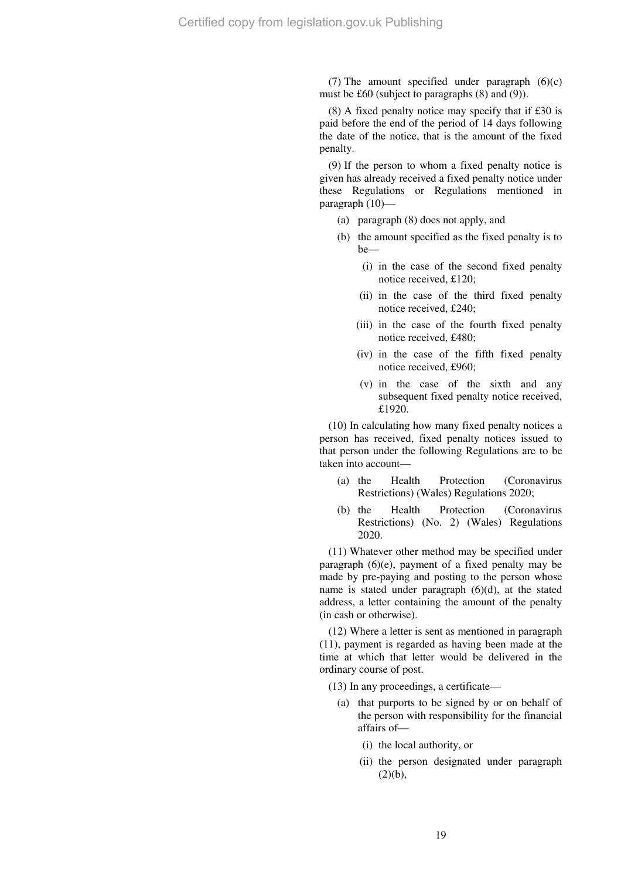(7) The amount specified under paragraph  $(6)(c)$ must be £60 (subject to paragraphs (8) and (9)).

(8) A fixed penalty notice may specify that if £30 is paid before the end of the period of 14 days following the date of the notice, that is the amount of the fixed penalty.

(9) If the person to whom a fixed penalty notice is given has already received a fixed penalty notice under these Regulations or Regulations mentioned in paragraph (10)—

- (a) paragraph (8) does not apply, and
- (b) the amount specified as the fixed penalty is to  $he$ —
	- (i) in the case of the second fixed penalty notice received, £120;
	- (ii) in the case of the third fixed penalty notice received, £240;
	- (iii) in the case of the fourth fixed penalty notice received, £480;
	- (iv) in the case of the fifth fixed penalty notice received, £960;
	- (v) in the case of the sixth and any subsequent fixed penalty notice received, £1920.

(10) In calculating how many fixed penalty notices a person has received, fixed penalty notices issued to that person under the following Regulations are to be taken into account—

- (a) the Health Protection (Coronavirus Restrictions) (Wales) Regulations 2020;
- (b) the Health Protection (Coronavirus Restrictions) (No. 2) (Wales) Regulations 2020.

(11) Whatever other method may be specified under paragraph (6)(e), payment of a fixed penalty may be made by pre-paying and posting to the person whose name is stated under paragraph (6)(d), at the stated address, a letter containing the amount of the penalty (in cash or otherwise).

(12) Where a letter is sent as mentioned in paragraph (11), payment is regarded as having been made at the time at which that letter would be delivered in the ordinary course of post.

(13) In any proceedings, a certificate—

- (a) that purports to be signed by or on behalf of the person with responsibility for the financial affairs of—
	- (i) the local authority, or
	- (ii) the person designated under paragraph  $(2)(b)$ ,